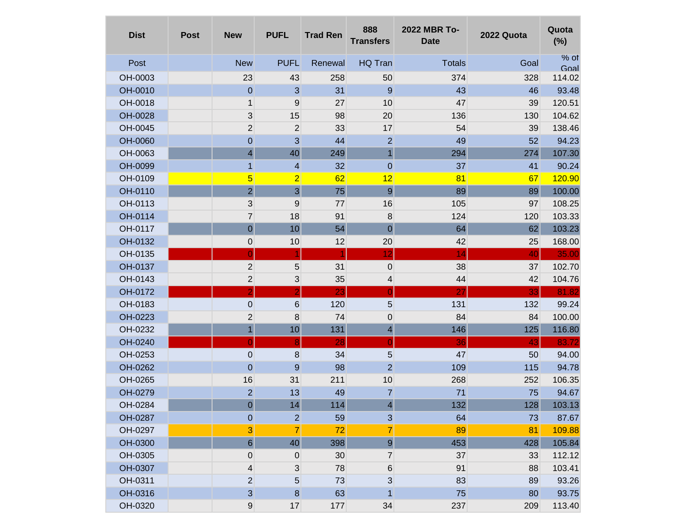| <b>Dist</b> | <b>Post</b> | <b>New</b>                | <b>PUFL</b>             | <b>Trad Ren</b> | 888<br><b>Transfers</b> | 2022 MBR To-<br><b>Date</b> | 2022 Quota | Quota<br>(%)   |
|-------------|-------------|---------------------------|-------------------------|-----------------|-------------------------|-----------------------------|------------|----------------|
| Post        |             | <b>New</b>                | <b>PUFL</b>             | Renewal         | HQ Tran                 | <b>Totals</b>               | Goal       | $%$ of<br>Goal |
| OH-0003     |             | 23                        | 43                      | 258             | 50                      | 374                         | 328        | 114.02         |
| OH-0010     |             | $\mathbf 0$               | 3                       | 31              | 9                       | 43                          | 46         | 93.48          |
| OH-0018     |             | 1                         | 9                       | 27              | 10                      | 47                          | 39         | 120.51         |
| OH-0028     |             | $\sqrt{3}$                | 15                      | 98              | 20                      | 136                         | 130        | 104.62         |
| OH-0045     |             | $\overline{2}$            | $\overline{2}$          | 33              | 17                      | 54                          | 39         | 138.46         |
| OH-0060     |             | $\mathbf 0$               | 3                       | 44              | $\overline{2}$          | 49                          | 52         | 94.23          |
| OH-0063     |             | 4                         | 40                      | 249             | $\mathbf{1}$            | 294                         | 274        | 107.30         |
| OH-0099     |             | $\mathbf{1}$              | 4                       | 32              | $\mathbf 0$             | 37                          | 41         | 90.24          |
| OH-0109     |             | $\overline{\mathbf{5}}$   | $\overline{2}$          | 62              | 12                      | 81                          | 67         | 120.90         |
| OH-0110     |             | $\overline{c}$            | $\overline{\mathbf{3}}$ | 75              | $\boldsymbol{9}$        | 89                          | 89         | 100.00         |
| OH-0113     |             | $\ensuremath{\mathsf{3}}$ | 9                       | 77              | 16                      | 105                         | 97         | 108.25         |
| OH-0114     |             | $\overline{7}$            | 18                      | 91              | 8                       | 124                         | 120        | 103.33         |
| OH-0117     |             | $\mathbf 0$               | 10                      | 54              | $\mathbf 0$             | 64                          | 62         | 103.23         |
| OH-0132     |             | 0                         | 10                      | 12              | 20                      | 42                          | 25         | 168.00         |
| OH-0135     |             | $\overline{0}$            | 1                       | 1               | 12                      | 14                          | 40         | 35.00          |
| OH-0137     |             | $\overline{2}$            | 5                       | 31              | $\pmb{0}$               | 38                          | 37         | 102.70         |
| OH-0143     |             | $\mathbf 2$               | 3                       | 35              | 4                       | 44                          | 42         | 104.76         |
| OH-0172     |             | $\overline{2}$            | $\overline{2}$          | 23              | $\overline{0}$          | 27                          | 33         | 81.82          |
| OH-0183     |             | $\boldsymbol{0}$          | 6                       | 120             | $\overline{5}$          | 131                         | 132        | 99.24          |
| OH-0223     |             | $\mathbf 2$               | 8                       | 74              | $\boldsymbol{0}$        | 84                          | 84         | 100.00         |
| OH-0232     |             | $\overline{1}$            | 10                      | 131             | $\overline{\mathbf{r}}$ | 146                         | 125        | 116.80         |
| OH-0240     |             | $\overline{0}$            | 8                       | 28              | $\overline{0}$          | 36                          | 43         | 83.72          |
| OH-0253     |             | $\boldsymbol{0}$          | 8                       | 34              | $5\phantom{.0}$         | 47                          | 50         | 94.00          |
| OH-0262     |             | $\mathbf 0$               | 9                       | 98              | $\overline{2}$          | 109                         | 115        | 94.78          |
| OH-0265     |             | 16                        | 31                      | 211             | 10                      | 268                         | 252        | 106.35         |
| OH-0279     |             | $\overline{2}$            | 13                      | 49              | $\overline{7}$          | 71                          | 75         | 94.67          |
| OH-0284     |             | $\overline{0}$            | 14                      | 114             | 4                       | 132                         | 128        | 103.13         |
| OH-0287     |             | $\mathbf 0$               | $\overline{a}$          | 59              | $\sqrt{3}$              | 64                          | 73         | 87.67          |
| OH-0297     |             | $\mathbf{3}$              | $\overline{7}$          | 72              | $\overline{7}$          | 89                          | 81         | 109.88         |
| OH-0300     |             | $6 \overline{6}$          | 40                      | 398             | $\boldsymbol{9}$        | 453                         | 428        | 105.84         |
| OH-0305     |             | 0                         | $\boldsymbol{0}$        | 30              | $\overline{7}$          | 37                          | 33         | 112.12         |
| OH-0307     |             | 4                         | $\mathbf{3}$            | 78              | $\,6$                   | 91                          | 88         | 103.41         |
| OH-0311     |             | $\overline{2}$            | 5 <sup>5</sup>          | 73              | $\mathbf{3}$            | 83                          | 89         | 93.26          |
| OH-0316     |             | 3                         | $\bf 8$                 | 63              | 1                       | 75                          | 80         | 93.75          |
| OH-0320     |             | $\boldsymbol{9}$          | 17                      | 177             | 34                      | 237                         | 209        | 113.40         |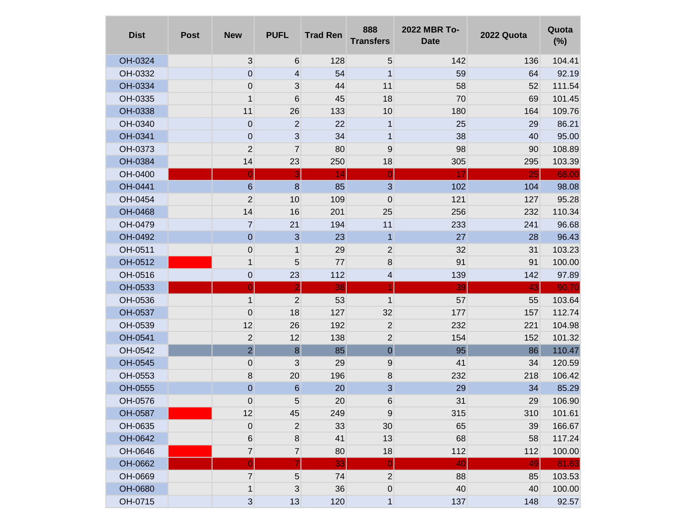| <b>Dist</b> | <b>Post</b> | <b>New</b>       | <b>PUFL</b>             | <b>Trad Ren</b> | 888<br><b>Transfers</b> | 2022 MBR To-<br><b>Date</b> | 2022 Quota | Quota<br>(%) |
|-------------|-------------|------------------|-------------------------|-----------------|-------------------------|-----------------------------|------------|--------------|
| OH-0324     |             | $\mathfrak{S}$   | 6                       | 128             | 5                       | 142                         | 136        | 104.41       |
| OH-0332     |             | $\mathbf 0$      | 4                       | 54              | $\mathbf{1}$            | 59                          | 64         | 92.19        |
| OH-0334     |             | $\mathbf 0$      | $\mathbf{3}$            | 44              | 11                      | 58                          | 52         | 111.54       |
| OH-0335     |             | $\mathbf 1$      | 6                       | 45              | 18                      | 70                          | 69         | 101.45       |
| OH-0338     |             | 11               | 26                      | 133             | 10                      | 180                         | 164        | 109.76       |
| OH-0340     |             | $\mathbf 0$      | $\mathbf{2}$            | 22              | $\mathbf{1}$            | 25                          | 29         | 86.21        |
| OH-0341     |             | $\mathbf 0$      | $\mathbf{3}$            | 34              | $\mathbf{1}$            | 38                          | 40         | 95.00        |
| OH-0373     |             | $\mathbf 2$      | $\overline{7}$          | 80              | 9                       | 98                          | 90         | 108.89       |
| OH-0384     |             | 14               | 23                      | 250             | 18                      | 305                         | 295        | 103.39       |
| OH-0400     |             | $\overline{0}$   | $\overline{\mathbf{3}}$ | 14              | $\overline{0}$          | 17                          | 25         | 68.00        |
| OH-0441     |             | $\,$ 6           | $\boldsymbol{8}$        | 85              | 3                       | 102                         | 104        | 98.08        |
| OH-0454     |             | 2                | 10                      | 109             | $\boldsymbol{0}$        | 121                         | 127        | 95.28        |
| OH-0468     |             | 14               | 16                      | 201             | 25                      | 256                         | 232        | 110.34       |
| OH-0479     |             | $\overline{7}$   | 21                      | 194             | $11$                    | 233                         | 241        | 96.68        |
| OH-0492     |             | $\theta$         | $\mathbf{3}$            | 23              | $\mathbf{1}$            | 27                          | 28         | 96.43        |
| OH-0511     |             | $\mathbf 0$      | 1                       | 29              | $\mathbf 2$             | 32                          | 31         | 103.23       |
| OH-0512     |             | $\mathbf{1}$     | 5                       | $77$            | 8                       | 91                          | 91         | 100.00       |
| OH-0516     |             | $\pmb{0}$        | 23                      | 112             | 4                       | 139                         | 142        | 97.89        |
| OH-0533     |             | $\overline{0}$   | $\overline{2}$          | 36              | $\blacktriangleleft$    | 39                          | 43         | 90.70        |
| OH-0536     |             | $\mathbf{1}$     | 2                       | 53              | $\mathbf{1}$            | 57                          | 55         | 103.64       |
| OH-0537     |             | $\mathbf 0$      | 18                      | 127             | 32                      | 177                         | 157        | 112.74       |
| OH-0539     |             | 12               | 26                      | 192             | $\overline{2}$          | 232                         | 221        | 104.98       |
| OH-0541     |             | $\mathbf 2$      | 12                      | 138             | $\overline{c}$          | 154                         | 152        | 101.32       |
| OH-0542     |             | $\overline{2}$   | $\bf{8}$                | 85              | $\pmb{0}$               | 95                          | 86         | 110.47       |
| OH-0545     |             | $\pmb{0}$        | 3                       | 29              | 9                       | 41                          | 34         | 120.59       |
| OH-0553     |             | 8                | 20                      | 196             | 8                       | 232                         | 218        | 106.42       |
| OH-0555     |             | $\mathbf 0$      | 6                       | 20              | 3                       | 29                          | 34         | 85.29        |
| OH-0576     |             | 0                | 5 <sup>5</sup>          | 20              | $\,6$                   | 31                          | 29         | 106.90       |
| OH-0587     |             | 12               | 45                      | 249             | $9\,$                   | 315                         | 310        | 101.61       |
| OH-0635     |             | $\boldsymbol{0}$ | $\overline{2}$          | 33              | 30                      | 65                          | 39         | 166.67       |
| OH-0642     |             | 6                | 8                       | 41              | 13                      | 68                          | 58         | 117.24       |
| OH-0646     |             | $\overline{7}$   | $\overline{7}$          | 80              | 18                      | 112                         | 112        | 100.00       |
| OH-0662     |             | $\overline{0}$   | 7                       | 33              | $\overline{0}$          | 40                          | 49         | 81.63        |
| OH-0669     |             | $\overline{7}$   | 5                       | 74              | $\overline{2}$          | 88                          | 85         | 103.53       |
| OH-0680     |             | 1                | 3                       | 36              | $\pmb{0}$               | 40                          | 40         | 100.00       |
| OH-0715     |             | $\mathbf{3}$     | 13                      | 120             | $\mathbf{1}$            | 137                         | 148        | 92.57        |